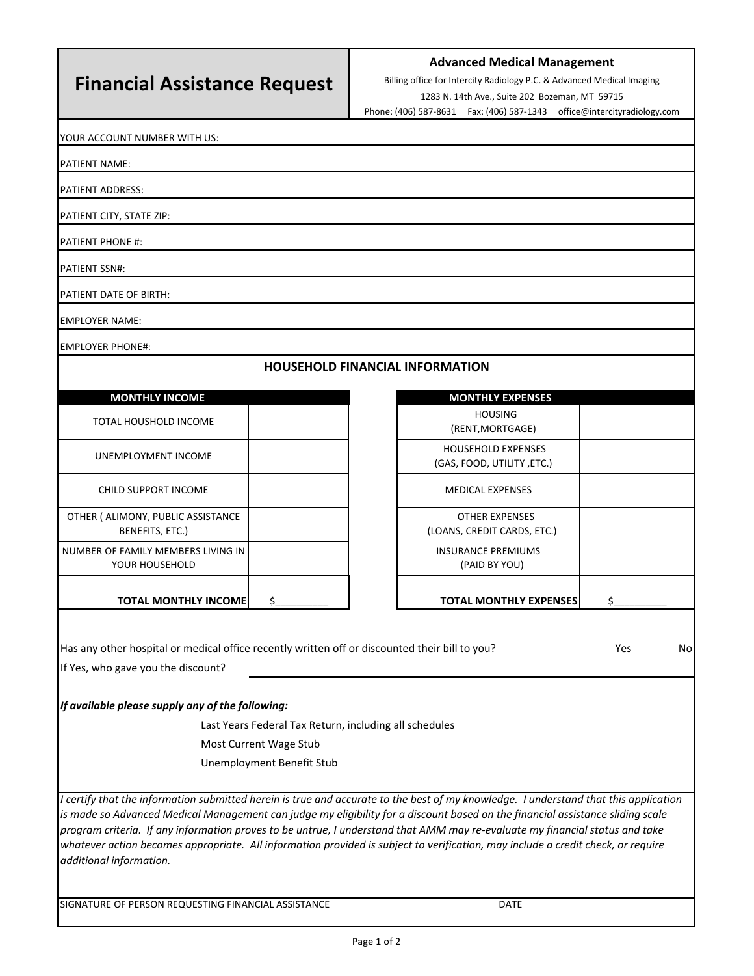## **Financial Assistance Request**

## **Advanced Medical Management**

Billing office for Intercity Radiology P.C. & Advanced Medical Imaging

1283 N. 14th Ave., Suite 202 Bozeman, MT 59715

Phone: (406) 587‐8631 Fax: (406) 587‐1343 office@intercityradiology.com

YOUR ACCOUNT NUMBER WITH US:

PATIENT NAME:

PATIENT ADDRESS:

PATIENT CITY, STATE ZIP:

PATIENT PHONE #:

PATIENT SSN#:

PATIENT DATE OF BIRTH:

EMPLOYER NAME:

EMPLOYER PHONE#:

## **HOUSEHOLD FINANCIAL INFORMATION**

| <b>MONTHLY INCOME</b> |  |
|-----------------------|--|
|-----------------------|--|

| <b>TOTAL MONTHLY INCOME!</b>                          | \$<br><b>TOTAL MONTHLY EXPE</b>                         |
|-------------------------------------------------------|---------------------------------------------------------|
| NUMBER OF FAMILY MEMBERS LIVING IN<br>YOUR HOUSEHOLD  | <b>INSURANCE PREMIUMS</b><br>(PAID BY YOU)              |
| OTHER ( ALIMONY, PUBLIC ASSISTANCE<br>BENEFITS, ETC.) | <b>OTHER EXPENSES</b><br>(LOANS, CREDIT CARDS, ETC      |
| CHILD SUPPORT INCOME                                  | <b>MEDICAL EXPENSES</b>                                 |
| UNEMPLOYMENT INCOME                                   | <b>HOUSEHOLD EXPENSES</b><br>(GAS, FOOD, UTILITY, ETC.) |
| <b>TOTAL HOUSHOLD INCOME</b>                          | <b>HOUSING</b><br>(RENT, MORTGAGE)                      |

| <b>MONTHLY INCOME</b>                        | <b>MONTHLY EXPENSES</b>                                 |
|----------------------------------------------|---------------------------------------------------------|
| AL HOUSHOLD INCOME                           | <b>HOUSING</b><br>(RENT, MORTGAGE)                      |
| EMPLOYMENT INCOME                            | <b>HOUSEHOLD EXPENSES</b><br>(GAS, FOOD, UTILITY, ETC.) |
| ILD SUPPORT INCOME                           | <b>MEDICAL EXPENSES</b>                                 |
| LIMONY, PUBLIC ASSISTANCE<br>BENEFITS, ETC.) | <b>OTHER EXPENSES</b><br>(LOANS, CREDIT CARDS, ETC.)    |
| F FAMILY MEMBERS LIVING IN<br>YOUR HOUSEHOLD | <b>INSURANCE PREMIUMS</b><br>(PAID BY YOU)              |
| <b>TOTAL MONTHLY INCOME</b>                  | <b>TOTAL MONTHLY EXPENSES</b>                           |
|                                              |                                                         |

Has any other hospital or medical office recently written off or discounted their bill to you? Yes Yes No

If Yes, who gave you the discount?

*If available please supply any of the following:*

Last Years Federal Tax Return, including all schedules

Most Current Wage Stub

Unemployment Benefit Stub

*I certify that the information submitted herein is true and accurate to the best of my knowledge. I understand that this application is made so Advanced Medical Management can judge my eligibility for a discount based on the financial assistance sliding scale program criteria. If any information proves to be untrue, I understand that AMM may re‐evaluate my financial status and take*  whatever action becomes appropriate. All information provided is subject to verification, may include a credit check, or require *additional information.*

SIGNATURE OF PERSON REQUESTING FINANCIAL ASSISTANCE DATE